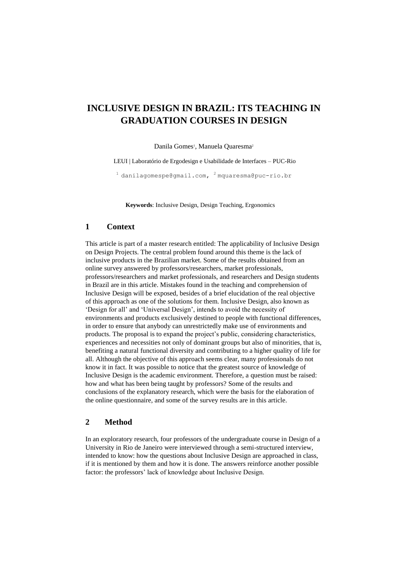# **INCLUSIVE DESIGN IN BRAZIL: ITS TEACHING IN GRADUATION COURSES IN DESIGN**

Danila Gomes<sup>1</sup>, Manuela Quaresma<sup>2</sup>

LEUI | Laboratório de Ergodesign e Usabilidade de Interfaces – PUC-Rio

 $1$  danilagomespe@gmail.com,  $2$  [mquaresma@puc-rio.br](mailto:2%20mquaresma@puc-rio.br)

**Keywords**: Inclusive Design, Design Teaching, Ergonomics

#### **1 Context**

This article is part of a master research entitled: The applicability of Inclusive Design on Design Projects. The central problem found around this theme is the lack of inclusive products in the Brazilian market. Some of the results obtained from an online survey answered by professors/researchers, market professionals, professors/researchers and market professionals, and researchers and Design students in Brazil are in this article. Mistakes found in the teaching and comprehension of Inclusive Design will be exposed, besides of a brief elucidation of the real objective of this approach as one of the solutions for them. Inclusive Design, also known as 'Design for all' and 'Universal Design', intends to avoid the necessity of environments and products exclusively destined to people with functional differences, in order to ensure that anybody can unrestrictedly make use of environments and products. The proposal is to expand the project's public, considering characteristics, experiences and necessities not only of dominant groups but also of minorities, that is, benefiting a natural functional diversity and contributing to a higher quality of life for all. Although the objective of this approach seems clear, many professionals do not know it in fact. It was possible to notice that the greatest source of knowledge of Inclusive Design is the academic environment. Therefore, a question must be raised: how and what has been being taught by professors? Some of the results and conclusions of the explanatory research, which were the basis for the elaboration of the online questionnaire, and some of the survey results are in this article.

### **2 Method**

In an exploratory research, four professors of the undergraduate course in Design of a University in Rio de Janeiro were interviewed through a semi-structured interview, intended to know: how the questions about Inclusive Design are approached in class, if it is mentioned by them and how it is done. The answers reinforce another possible factor: the professors' lack of knowledge about Inclusive Design.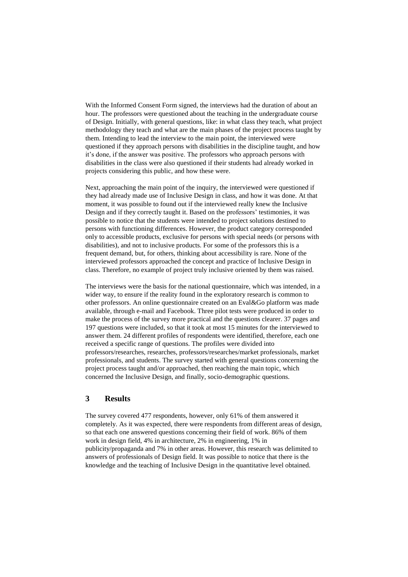With the Informed Consent Form signed, the interviews had the duration of about an hour. The professors were questioned about the teaching in the undergraduate course of Design. Initially, with general questions, like: in what class they teach, what project methodology they teach and what are the main phases of the project process taught by them. Intending to lead the interview to the main point, the interviewed were questioned if they approach persons with disabilities in the discipline taught, and how it's done, if the answer was positive. The professors who approach persons with disabilities in the class were also questioned if their students had already worked in projects considering this public, and how these were.

Next, approaching the main point of the inquiry, the interviewed were questioned if they had already made use of Inclusive Design in class, and how it was done. At that moment, it was possible to found out if the interviewed really knew the Inclusive Design and if they correctly taught it. Based on the professors' testimonies, it was possible to notice that the students were intended to project solutions destined to persons with functioning differences. However, the product category corresponded only to accessible products, exclusive for persons with special needs (or persons with disabilities), and not to inclusive products. For some of the professors this is a frequent demand, but, for others, thinking about accessibility is rare. None of the interviewed professors approached the concept and practice of Inclusive Design in class. Therefore, no example of project truly inclusive oriented by them was raised.

The interviews were the basis for the national questionnaire, which was intended, in a wider way, to ensure if the reality found in the exploratory research is common to other professors. An online questionnaire created on an Eval&Go platform was made available, through e-mail and Facebook. Three pilot tests were produced in order to make the process of the survey more practical and the questions clearer. 37 pages and 197 questions were included, so that it took at most 15 minutes for the interviewed to answer them. 24 different profiles of respondents were identified, therefore, each one received a specific range of questions. The profiles were divided into professors/researches, researches, professors/researches/market professionals, market professionals, and students. The survey started with general questions concerning the project process taught and/or approached, then reaching the main topic, which concerned the Inclusive Design, and finally, socio-demographic questions.

#### **3 Results**

The survey covered 477 respondents, however, only 61% of them answered it completely. As it was expected, there were respondents from different areas of design, so that each one answered questions concerning their field of work. 86% of them work in design field, 4% in architecture, 2% in engineering, 1% in publicity/propaganda and 7% in other areas. However, this research was delimited to answers of professionals of Design field. It was possible to notice that there is the knowledge and the teaching of Inclusive Design in the quantitative level obtained.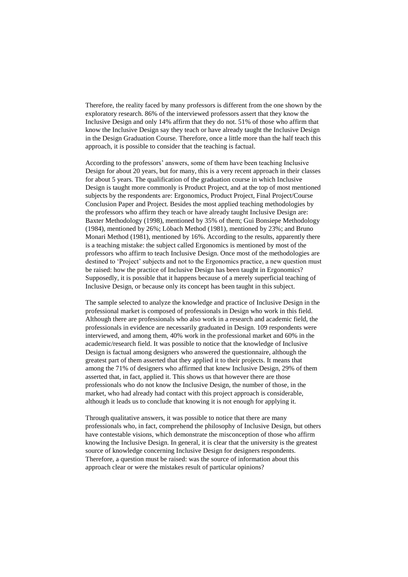Therefore, the reality faced by many professors is different from the one shown by the exploratory research. 86% of the interviewed professors assert that they know the Inclusive Design and only 14% affirm that they do not. 51% of those who affirm that know the Inclusive Design say they teach or have already taught the Inclusive Design in the Design Graduation Course. Therefore, once a little more than the half teach this approach, it is possible to consider that the teaching is factual.

According to the professors' answers, some of them have been teaching Inclusive Design for about 20 years, but for many, this is a very recent approach in their classes for about 5 years. The qualification of the graduation course in which Inclusive Design is taught more commonly is Product Project, and at the top of most mentioned subjects by the respondents are: Ergonomics, Product Project, Final Project/Course Conclusion Paper and Project. Besides the most applied teaching methodologies by the professors who affirm they teach or have already taught Inclusive Design are: Baxter Methodology (1998), mentioned by 35% of them; Gui Bonsiepe Methodology (1984), mentioned by 26%; Löbach Method (1981), mentioned by 23%; and Bruno Monari Method (1981), mentioned by 16%. According to the results, apparently there is a teaching mistake: the subject called Ergonomics is mentioned by most of the professors who affirm to teach Inclusive Design. Once most of the methodologies are destined to 'Project' subjects and not to the Ergonomics practice, a new question must be raised: how the practice of Inclusive Design has been taught in Ergonomics? Supposedly, it is possible that it happens because of a merely superficial teaching of Inclusive Design, or because only its concept has been taught in this subject.

The sample selected to analyze the knowledge and practice of Inclusive Design in the professional market is composed of professionals in Design who work in this field. Although there are professionals who also work in a research and academic field, the professionals in evidence are necessarily graduated in Design. 109 respondents were interviewed, and among them, 40% work in the professional market and 60% in the academic/research field. It was possible to notice that the knowledge of Inclusive Design is factual among designers who answered the questionnaire, although the greatest part of them asserted that they applied it to their projects. It means that among the 71% of designers who affirmed that knew Inclusive Design, 29% of them asserted that, in fact, applied it. This shows us that however there are those professionals who do not know the Inclusive Design, the number of those, in the market, who had already had contact with this project approach is considerable, although it leads us to conclude that knowing it is not enough for applying it.

Through qualitative answers, it was possible to notice that there are many professionals who, in fact, comprehend the philosophy of Inclusive Design, but others have contestable visions, which demonstrate the misconception of those who affirm knowing the Inclusive Design. In general, it is clear that the university is the greatest source of knowledge concerning Inclusive Design for designers respondents. Therefore, a question must be raised: was the source of information about this approach clear or were the mistakes result of particular opinions?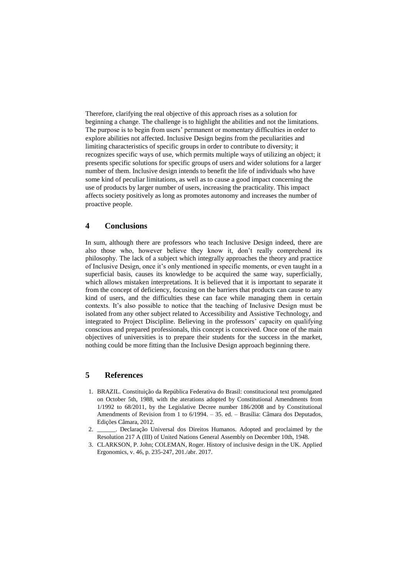Therefore, clarifying the real objective of this approach rises as a solution for beginning a change. The challenge is to highlight the abilities and not the limitations. The purpose is to begin from users' permanent or momentary difficulties in order to explore abilities not affected. Inclusive Design begins from the peculiarities and limiting characteristics of specific groups in order to contribute to diversity; it recognizes specific ways of use, which permits multiple ways of utilizing an object; it presents specific solutions for specific groups of users and wider solutions for a larger number of them. Inclusive design intends to benefit the life of individuals who have some kind of peculiar limitations, as well as to cause a good impact concerning the use of products by larger number of users, increasing the practicality. This impact affects society positively as long as promotes autonomy and increases the number of proactive people.

#### **4 Conclusions**

In sum, although there are professors who teach Inclusive Design indeed, there are also those who, however believe they know it, don't really comprehend its philosophy. The lack of a subject which integrally approaches the theory and practice of Inclusive Design, once it's only mentioned in specific moments, or even taught in a superficial basis, causes its knowledge to be acquired the same way, superficially, which allows mistaken interpretations. It is believed that it is important to separate it from the concept of deficiency, focusing on the barriers that products can cause to any kind of users, and the difficulties these can face while managing them in certain contexts. It's also possible to notice that the teaching of Inclusive Design must be isolated from any other subject related to Accessibility and Assistive Technology, and integrated to Project Discipline. Believing in the professors' capacity on qualifying conscious and prepared professionals, this concept is conceived. Once one of the main objectives of universities is to prepare their students for the success in the market, nothing could be more fitting than the Inclusive Design approach beginning there.

## **5 References**

- 1. BRAZIL. Constituição da República Federativa do Brasil: constitucional text promulgated on October 5th, 1988, with the aterations adopted by Constitutional Amendments from 1/1992 to 68/2011, by the Legislative Decree number 186/2008 and by Constitutional Amendments of Revision from 1 to 6/1994. – 35. ed. – Brasília: Câmara dos Deputados, Edições Câmara, 2012.
- 2. \_\_\_\_\_\_. Declaração Universal dos Direitos Humanos. Adopted and proclaimed by the Resolution 217 A (III) of United Nations General Assembly on December 10th, 1948.
- 3. CLARKSON, P. John; COLEMAN, Roger. History of inclusive design in the UK. Applied Ergonomics, v. 46, p. 235-247, 201./abr. 2017.